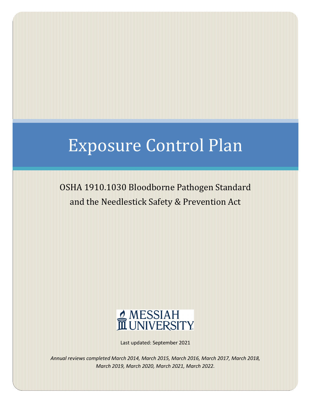# Exposure Control Plan

## OSHA 1910.1030 Bloodborne Pathogen Standard and the Needlestick Safety & Prevention Act



Last updated: September 2021

*Annual reviews completed March 2014, March 2015, March 2016, March 2017, March 2018, March 2019, March 2020, March 2021, March 2022.*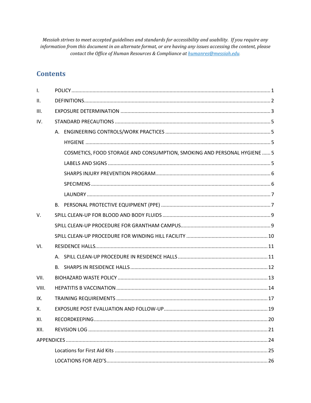Messiah strives to meet accepted guidelines and standards for accessibility and usability. If you require any information from this document in an alternate format, or are having any issues accessing the content, please contact the Office of Human Resources & Compliance at humanres@messiah.edu.

## **Contents**

| $\mathbf{I}$ . |                                                                          |  |
|----------------|--------------------------------------------------------------------------|--|
| II.            |                                                                          |  |
| III.           |                                                                          |  |
| IV.            |                                                                          |  |
|                |                                                                          |  |
|                |                                                                          |  |
|                | COSMETICS, FOOD STORAGE AND CONSUMPTION, SMOKING AND PERSONAL HYGIENE  5 |  |
|                |                                                                          |  |
|                |                                                                          |  |
|                |                                                                          |  |
|                |                                                                          |  |
|                |                                                                          |  |
| V.             |                                                                          |  |
|                |                                                                          |  |
|                |                                                                          |  |
| VI.            |                                                                          |  |
|                |                                                                          |  |
|                |                                                                          |  |
| VII.           |                                                                          |  |
| VIII.          |                                                                          |  |
| IX.            |                                                                          |  |
| Χ.             |                                                                          |  |
| XI.            |                                                                          |  |
| XII.           |                                                                          |  |
|                |                                                                          |  |
|                |                                                                          |  |
|                |                                                                          |  |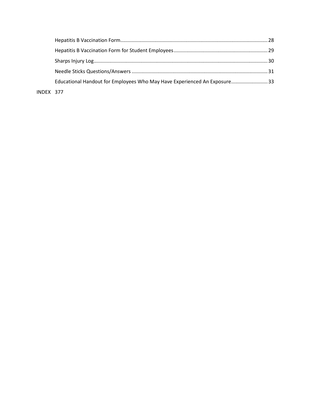|           | Educational Handout for Employees Who May Have Experienced An Exposure33 |  |
|-----------|--------------------------------------------------------------------------|--|
| INDEX 377 |                                                                          |  |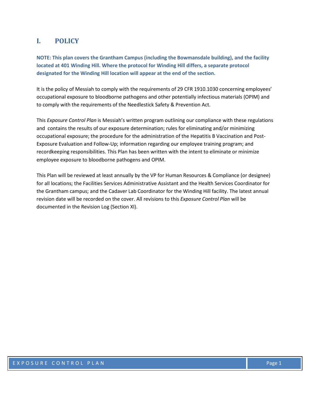## <span id="page-3-0"></span>**I. POLICY**

**NOTE: This plan covers the Grantham Campus (including the Bowmansdale building), and the facility located at 401 Winding Hill. Where the protocol for Winding Hill differs, a separate protocol designated for the Winding Hill location will appear at the end of the section.**

It is the policy of Messiah to comply with the requirements of 29 CFR 1910.1030 concerning employees' occupational exposure to bloodborne pathogens and other potentially infectious materials (OPIM) and to comply with the requirements of the Needlestick Safety & Prevention Act.

This *Exposure Control Plan* is Messiah's written program outlining our compliance with these regulations and contains the results of our exposure determination; rules for eliminating and/or minimizing occupational exposure; the procedure for the administration of the Hepatitis B Vaccination and Post-Exposure Evaluation and Follow-Up; information regarding our employee training program; and recordkeeping responsibilities. This Plan has been written with the intent to eliminate or minimize employee exposure to bloodborne pathogens and OPIM.

This Plan will be reviewed at least annually by the VP for Human Resources & Compliance (or designee) for all locations; the Facilities Services Administrative Assistant and the Health Services Coordinator for the Grantham campus; and the Cadaver Lab Coordinator for the Winding Hill facility. The latest annual revision date will be recorded on the cover. All revisions to this *Exposure Control Plan* will be documented in the Revision Log (Section XI).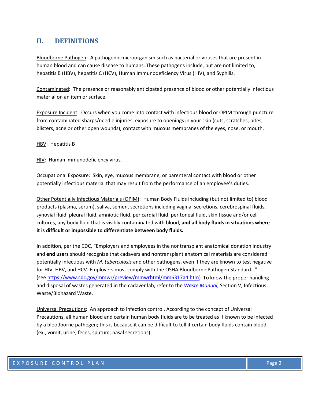## <span id="page-4-0"></span>**II. DEFINITIONS**

Bloodborne Pathogen: A pathogenic microorganism such as bacterial or viruses that are present in human blood and can cause disease to humans. These pathogens include, but are not limited to, hepatitis B (HBV), hepatitis C (HCV), Human Immunodeficiency Virus (HIV), and Syphilis.

Contaminated: The presence or reasonably anticipated presence of blood or other potentially infectious material on an item or surface.

Exposure Incident: Occurs when you come into contact with infectious blood or OPIM through puncture from contaminated sharps/needle injuries; exposure to openings in your skin (cuts, scratches, bites, blisters, acne or other open wounds); contact with mucous membranes of the eyes, nose, or mouth.

HBV: Hepatitis B

HIV: Human immunodeficiency virus.

Occupational Exposure: Skin, eye, mucous membrane, or parenteral contact with blood or other potentially infectious material that may result from the performance of an employee's duties.

Other Potentially Infectious Materials (OPIM): Human Body Fluids including (but not limited to) blood products (plasma, serum), saliva, semen, secretions including vaginal secretions, cerebrospinal fluids, synovial fluid, pleural fluid, amniotic fluid, pericardial fluid, peritoneal fluid, skin tissue and/or cell cultures, any body fluid that is visibly contaminated with blood, **and all body fluids in situations where it is difficult or impossible to differentiate between body fluids.**

In addition, per the CDC, "Employers and employees in the nontransplant anatomical donation industry and **end users** should recognize that cadavers and nontransplant anatomical materials are considered potentially infectious with *M. tuberculosis* and other pathogens, even if they are known to test negative for HIV, HBV, and HCV. Employers must comply with the OSHA Bloodborne Pathogen Standard…" (see [https://www.cdc.gov/mmwr/preview/mmwrhtml/mm6317a4.htm\)](https://www.cdc.gov/mmwr/preview/mmwrhtml/mm6317a4.htm) To know the proper handling and disposal of wastes generated in the cadaver lab, refer to the *[Waste Manual](https://www.messiah.edu/download/downloads/id/1252/waste_manual.pdf)*, Section V, Infectious Waste/Biohazard Waste.

Universal Precautions: An approach to infection control. According to the concept of Universal Precautions, all human blood and certain human body fluids are to be treated as if known to be infected by a bloodborne pathogen; this is because it can be difficult to tell if certain body fluids contain blood (ex., vomit, urine, feces, sputum, nasal secretions).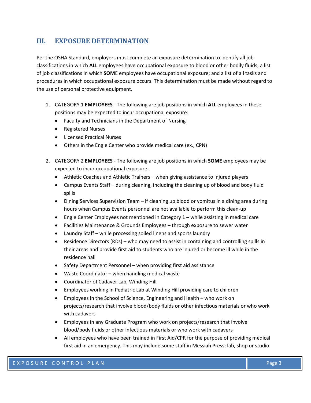## <span id="page-5-0"></span>**III. EXPOSURE DETERMINATION**

Per the OSHA Standard, employers must complete an exposure determination to identify all job classifications in which **ALL** employees have occupational exposure to blood or other bodily fluids; a list of job classifications in which **SOM**E employees have occupational exposure; and a list of all tasks and procedures in which occupational exposure occurs. This determination must be made without regard to the use of personal protective equipment.

- 1. CATEGORY 1 **EMPLOYEES** The following are job positions in which **ALL** employees in these positions may be expected to incur occupational exposure:
	- Faculty and Technicians in the Department of Nursing
	- Registered Nurses
	- Licensed Practical Nurses
	- Others in the Engle Center who provide medical care (ex., CPN)
- 2. CATEGORY 2 **EMPLOYEES** The following are job positions in which **SOME** employees may be expected to incur occupational exposure:
	- Athletic Coaches and Athletic Trainers when giving assistance to injured players
	- Campus Events Staff during cleaning, including the cleaning up of blood and body fluid spills
	- Dining Services Supervision Team if cleaning up blood or vomitus in a dining area during hours when Campus Events personnel are not available to perform this clean-up
	- Engle Center Employees not mentioned in Category 1 while assisting in medical care
	- Facilities Maintenance & Grounds Employees through exposure to sewer water
	- Laundry Staff while processing soiled linens and sports laundry
	- Residence Directors (RDs) who may need to assist in containing and controlling spills in their areas and provide first aid to students who are injured or become ill while in the residence hall
	- Safety Department Personnel when providing first aid assistance
	- Waste Coordinator when handling medical waste
	- Coordinator of Cadaver Lab, Winding Hill
	- Employees working in Pediatric Lab at Winding Hill providing care to children
	- Employees in the School of Science, Engineering and Health who work on projects/research that involve blood/body fluids or other infectious materials or who work with cadavers
	- Employees in any Graduate Program who work on projects/research that involve blood/body fluids or other infectious materials or who work with cadavers
	- All employees who have been trained in First Aid/CPR for the purpose of providing medical first aid in an emergency. This may include some staff in Messiah Press; lab, shop or studio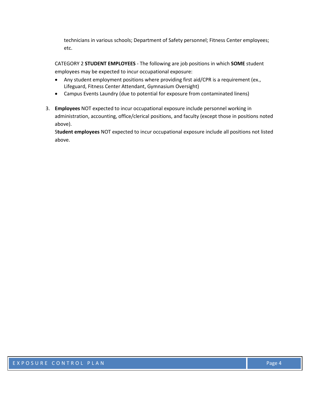technicians in various schools; Department of Safety personnel; Fitness Center employees; etc.

CATEGORY 2 **STUDENT EMPLOYEES** - The following are job positions in which **SOME** student employees may be expected to incur occupational exposure:

- Any student employment positions where providing first aid/CPR is a requirement (ex., Lifeguard, Fitness Center Attendant, Gymnasium Oversight)
- Campus Events Laundry (due to potential for exposure from contaminated linens)
- 3. **Employees** NOT expected to incur occupational exposure include personnel working in administration, accounting, office/clerical positions, and faculty (except those in positions noted above).

S**tudent employees** NOT expected to incur occupational exposure include all positions not listed above.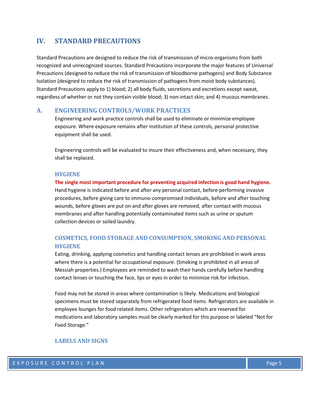## <span id="page-7-0"></span>**IV. STANDARD PRECAUTIONS**

Standard Precautions are designed to reduce the risk of transmission of micro-organisms from both recognized and unrecognized sources. Standard Precautions incorporate the major features of Universal Precautions (designed to reduce the risk of transmission of bloodborne pathogens) and Body Substance Isolation (designed to reduce the risk of transmission of pathogens from moist body substances). Standard Precautions apply to 1) blood; 2) all body fluids, secretions and excretions except sweat, regardless of whether or not they contain visible blood; 3) non-intact skin; and 4) mucous membranes.

#### <span id="page-7-1"></span>**A. ENGINEERING CONTROLS/WORK PRACTICES**

Engineering and work practice controls shall be used to eliminate or minimize employee exposure. Where exposure remains after institution of these controls, personal protective equipment shall be used.

Engineering controls will be evaluated to insure their effectiveness and, when necessary, they shall be replaced.

#### <span id="page-7-2"></span>**HYGIENE**

**The single most important procedure for preventing acquired infection is good hand hygiene.** Hand hygiene is indicated before and after any personal contact, before performing invasive procedures, before giving care to immuno-compromised individuals, before and after touching wounds, before gloves are put on and after gloves are removed, after contact with mucous membranes and after handling potentially contaminated items such as urine or sputum collection devices or soiled laundry.

## <span id="page-7-3"></span>**COSMETICS, FOOD STORAGE AND CONSUMPTION, SMOKING AND PERSONAL HYGIENE**

Eating, drinking, applying cosmetics and handling contact lenses are prohibited in work areas where there is a potential for occupational exposure. (Smoking is prohibited in all areas of Messiah properties.) Employees are reminded to wash their hands carefully before handling contact lenses or touching the face, lips or eyes in order to minimize risk for infection.

Food may not be stored in areas where contamination is likely. Medications and biological specimens must be stored separately from refrigerated food items. Refrigerators are available in employee lounges for food related items. Other refrigerators which are reserved for medications and laboratory samples must be clearly marked for this purpose or labeled "Not for Food Storage."

#### <span id="page-7-4"></span>**LABELS AND SIGNS**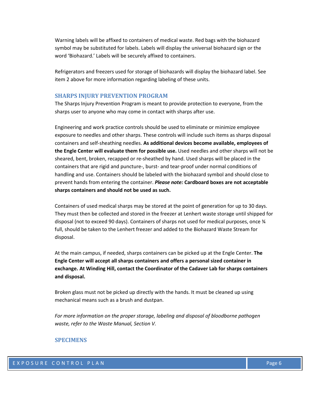Warning labels will be affixed to containers of medical waste. Red bags with the biohazard symbol may be substituted for labels. Labels will display the universal biohazard sign or the word 'Biohazard.' Labels will be securely affixed to containers.

Refrigerators and freezers used for storage of biohazards will display the biohazard label. See item 2 above for more information regarding labeling of these units.

#### <span id="page-8-0"></span>**SHARPS INJURY PREVENTION PROGRAM**

The Sharps Injury Prevention Program is meant to provide protection to everyone, from the sharps user to anyone who may come in contact with sharps after use.

Engineering and work practice controls should be used to eliminate or minimize employee exposure to needles and other sharps. These controls will include such items as sharps disposal containers and self-sheathing needles. **As additional devices become available, employees of the Engle Center will evaluate them for possible use.** Used needles and other sharps will not be sheared, bent, broken, recapped or re-sheathed by hand. Used sharps will be placed in the containers that are rigid and puncture-, burst- and tear-proof under normal conditions of handling and use. Containers should be labeled with the biohazard symbol and should close to prevent hands from entering the container. *Please note:* **Cardboard boxes are not acceptable sharps containers and should not be used as such.**

Containers of used medical sharps may be stored at the point of generation for up to 30 days. They must then be collected and stored in the freezer at Lenhert waste storage until shipped for disposal (not to exceed 90 days). Containers of sharps not used for medical purposes, once ¾ full, should be taken to the Lenhert freezer and added to the Biohazard Waste Stream for disposal.

At the main campus, if needed, sharps containers can be picked up at the Engle Center. **The Engle Center will accept all sharps containers and offers a personal sized container in exchange. At Winding Hill, contact the Coordinator of the Cadaver Lab for sharps containers and disposal.**

Broken glass must not be picked up directly with the hands. It must be cleaned up using mechanical means such as a brush and dustpan.

*For more information on the proper storage, labeling and disposal of bloodborne pathogen waste, refer to the Waste Manual, Section V.*

#### <span id="page-8-1"></span>**SPECIMENS**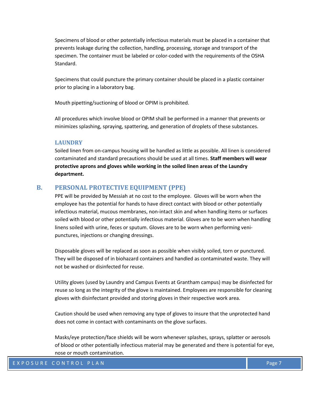Specimens of blood or other potentially infectious materials must be placed in a container that prevents leakage during the collection, handling, processing, storage and transport of the specimen. The container must be labeled or color-coded with the requirements of the OSHA Standard.

Specimens that could puncture the primary container should be placed in a plastic container prior to placing in a laboratory bag.

Mouth pipetting/suctioning of blood or OPIM is prohibited.

All procedures which involve blood or OPIM shall be performed in a manner that prevents or minimizes splashing, spraying, spattering, and generation of droplets of these substances.

#### <span id="page-9-0"></span>**LAUNDRY**

Soiled linen from on-campus housing will be handled as little as possible. All linen is considered contaminated and standard precautions should be used at all times. **Staff members will wear protective aprons and gloves while working in the soiled linen areas of the Laundry department.**

#### <span id="page-9-1"></span>**B. PERSONAL PROTECTIVE EQUIPMENT (PPE)**

PPE will be provided by Messiah at no cost to the employee. Gloves will be worn when the employee has the potential for hands to have direct contact with blood or other potentially infectious material, mucous membranes, non-intact skin and when handling items or surfaces soiled with blood or other potentially infectious material. Gloves are to be worn when handling linens soiled with urine, feces or sputum. Gloves are to be worn when performing venipunctures, injections or changing dressings.

Disposable gloves will be replaced as soon as possible when visibly soiled, torn or punctured. They will be disposed of in biohazard containers and handled as contaminated waste. They will not be washed or disinfected for reuse.

Utility gloves (used by Laundry and Campus Events at Grantham campus) may be disinfected for reuse so long as the integrity of the glove is maintained. Employees are responsible for cleaning gloves with disinfectant provided and storing gloves in their respective work area.

Caution should be used when removing any type of gloves to insure that the unprotected hand does not come in contact with contaminants on the glove surfaces.

Masks/eye protection/face shields will be worn whenever splashes, sprays, splatter or aerosols of blood or other potentially infectious material may be generated and there is potential for eye, nose or mouth contamination.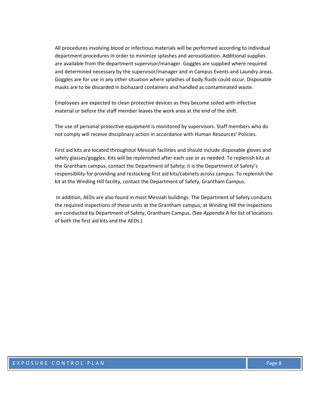All procedures involving blood or infectious materials will be performed according to individual department procedures in order to minimize splashes and aerosolization. Additional supplies are available from the department supervisor/manager. Goggles are supplied where required and determined necessary by the supervisor/manager and in Campus Events and Laundry areas. Goggles are for use in any other situation where splashes of body fluids could occur. Disposable masks are to be discarded in biohazard containers and handled as contaminated waste.

Employees are expected to clean protective devices as they become soiled with infective material or before the staff member leaves the work area at the end of the shift.

The use of personal protective equipment is monitored by supervisors. Staff members who do not comply will receive disciplinary action in accordance with Human Resources' Policies.

First aid kits are located throughout Messiah facilities and should include disposable gloves and safety glasses/goggles. Kits will be replenished after each use or as needed. To replenish kits at the Grantham campus, contact the Department of Safety; it is the Department of Safety's responsibility for providing and restocking first aid kits/cabinets across campus. To replenish the kit at the Winding Hill facility, contact the Department of Safety, Grantham Campus.

In addition, AEDs are also found in most Messiah buildings. The Department of Safety conducts the required inspections of these units at the Grantham campus; at Winding Hill the inspections are conducted by Department of Safety, Grantham Campus. (See *Appendix A* for list of locations of both the first aid kits and the AEDs.)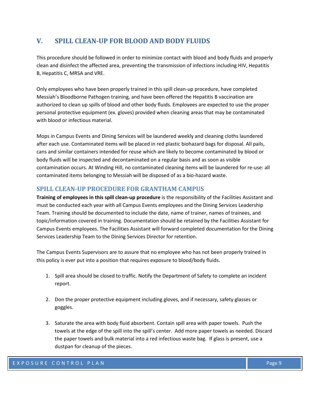## <span id="page-11-0"></span>**V. SPILL CLEAN-UP FOR BLOOD AND BODY FLUIDS**

This procedure should be followed in order to minimize contact with blood and body fluids and properly clean and disinfect the affected area, preventing the transmission of infections including HIV, Hepatitis B, Hepatitis C, MRSA and VRE.

Only employees who have been properly trained in this spill clean-up procedure, have completed Messiah's Bloodborne Pathogen training, and have been offered the Hepatitis B vaccination are authorized to clean up spills of blood and other body fluids. Employees are expected to use the proper personal protective equipment (ex. gloves) provided when cleaning areas that may be contaminated with blood or infectious material.

Mops in Campus Events and Dining Services will be laundered weekly and cleaning cloths laundered after each use. Contaminated items will be placed in red plastic biohazard bags for disposal. All pails, cans and similar containers intended for reuse which are likely to become contaminated by blood or body fluids will be inspected and decontaminated on a regular basis and as soon as visible contamination occurs. At Winding Hill, no contaminated cleaning items will be laundered for re-use: all contaminated items belonging to Messiah will be disposed of as a bio-hazard waste.

## <span id="page-11-1"></span>**SPILL CLEAN-UP PROCEDURE FOR GRANTHAM CAMPUS**

**Training of employees in this spill clean-up procedure** is the responsibility of the Facilities Assistant and must be conducted each year with all Campus Events employees and the Dining Services Leadership Team. Training should be documented to include the date, name of trainer, names of trainees, and topic/information covered in training. Documentation should be retained by the Facilities Assistant for Campus Events employees. The Facilities Assistant will forward completed documentation for the Dining Services Leadership Team to the Dining Services Director for retention.

The Campus Events Supervisors are to assure that no employee who has not been properly trained in this policy is ever put into a position that requires exposure to blood/body fluids.

- 1. Spill area should be closed to traffic. Notify the Department of Safety to complete an incident report.
- 2. Don the proper protective equipment including gloves, and if necessary, safety glasses or goggles.
- 3. Saturate the area with body fluid absorbent. Contain spill area with paper towels. Push the towels at the edge of the spill into the spill's center. Add more paper towels as needed. Discard the paper towels and bulk material into a red infectious waste bag. If glass is present, use a dustpan for cleanup of the pieces.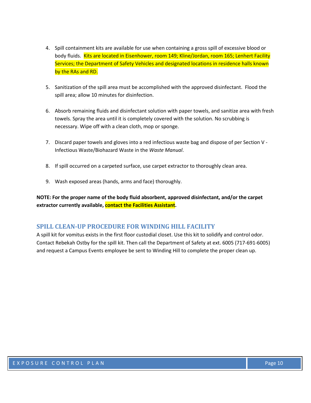- 4. Spill containment kits are available for use when containing a gross spill of excessive blood or body fluids. Kits are located in Eisenhower, room 149; Kline/Jordan, room 165; Lenhert Facility Services; the Department of Safety Vehicles and designated locations in residence halls known by the RAs and RD.
- 5. Sanitization of the spill area must be accomplished with the approved disinfectant. Flood the spill area; allow 10 minutes for disinfection.
- 6. Absorb remaining fluids and disinfectant solution with paper towels, and sanitize area with fresh towels. Spray the area until it is completely covered with the solution. No scrubbing is necessary. Wipe off with a clean cloth, mop or sponge.
- 7. Discard paper towels and gloves into a red infectious waste bag and dispose of per Section V -Infectious Waste/Biohazard Waste in the *Waste Manual*.
- 8. If spill occurred on a carpeted surface, use carpet extractor to thoroughly clean area.
- 9. Wash exposed areas (hands, arms and face) thoroughly.

**NOTE: For the proper name of the body fluid absorbent, approved disinfectant, and/or the carpet extractor currently available, contact the Facilities Assistant.**

#### <span id="page-12-0"></span>**SPILL CLEAN-UP PROCEDURE FOR WINDING HILL FACILITY**

A spill kit for vomitus exists in the first floor custodial closet. Use this kit to solidify and control odor. Contact Rebekah Ostby for the spill kit. Then call the Department of Safety at ext. 6005 (717-691-6005) and request a Campus Events employee be sent to Winding Hill to complete the proper clean up.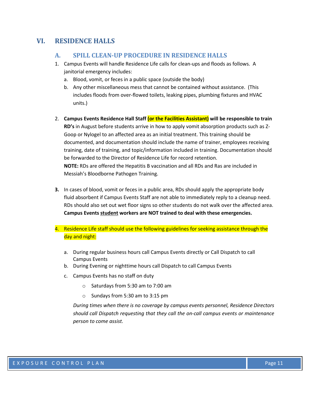## <span id="page-13-1"></span><span id="page-13-0"></span>**VI. RESIDENCE HALLS**

#### **A. SPILL CLEAN-UP PROCEDURE IN RESIDENCE HALLS**

- 1. Campus Events will handle Residence Life calls for clean-ups and floods as follows. A janitorial emergency includes:
	- a. Blood, vomit, or feces in a public space (outside the body)
	- b. Any other miscellaneous mess that cannot be contained without assistance. (This includes floods from over-flowed toilets, leaking pipes, plumbing fixtures and HVAC units.)
- 2. **Campus Events Residence Hall Staff (or the Facilities Assistant) will be responsible to train RD's** in August before students arrive in how to apply vomit absorption products such as Z-Goop or Nylogel to an affected area as an initial treatment. This training should be documented, and documentation should include the name of trainer, employees receiving training, date of training, and topic/information included in training. Documentation should be forwarded to the Director of Residence Life for record retention. **NOTE:** RDs are offered the Hepatitis B vaccination and all RDs and Ras are included in Messiah's Bloodborne Pathogen Training.
- **3.** In cases of blood, vomit or feces in a public area, RDs should apply the appropriate body fluid absorbent if Campus Events Staff are not able to immediately reply to a cleanup need. RDs should also set out wet floor signs so other students do not walk over the affected area. **Campus Events student workers are NOT trained to deal with these emergencies.**
- 4. Residence Life staff should use the following guidelines for seeking assistance through the day and night:
	- a. During regular business hours call Campus Events directly or Call Dispatch to call Campus Events
	- b. During Evening or nighttime hours call Dispatch to call Campus Events
	- c. Campus Events has no staff on duty
		- o Saturdays from 5:30 am to 7:00 am
		- o Sundays from 5:30 am to 3:15 pm

*During times when there is no coverage by campus events personnel, Residence Directors should call Dispatch requesting that they call the on-call campus events or maintenance person to come assist.*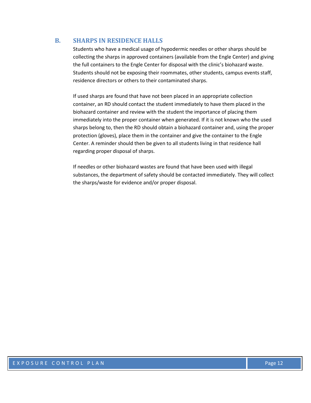## <span id="page-14-0"></span>**B. SHARPS IN RESIDENCE HALLS**

Students who have a medical usage of hypodermic needles or other sharps should be collecting the sharps in approved containers (available from the Engle Center) and giving the full containers to the Engle Center for disposal with the clinic's biohazard waste. Students should not be exposing their roommates, other students, campus events staff, residence directors or others to their contaminated sharps.

If used sharps are found that have not been placed in an appropriate collection container, an RD should contact the student immediately to have them placed in the biohazard container and review with the student the importance of placing them immediately into the proper container when generated. If it is not known who the used sharps belong to, then the RD should obtain a biohazard container and, using the proper protection (gloves), place them in the container and give the container to the Engle Center. A reminder should then be given to all students living in that residence hall regarding proper disposal of sharps.

If needles or other biohazard wastes are found that have been used with illegal substances, the department of safety should be contacted immediately. They will collect the sharps/waste for evidence and/or proper disposal.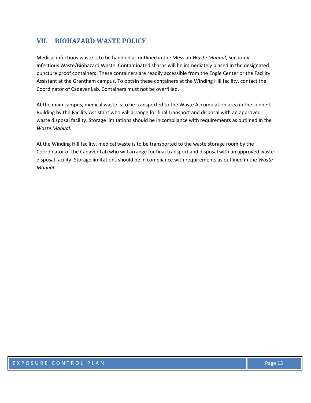## <span id="page-15-0"></span>**VII. BIOHAZARD WASTE POLICY**

Medical infectious waste is to be handled as outlined in the Messiah *Waste Manual*, Section V - Infectious Waste/Biohazard Waste. Contaminated sharps will be immediately placed in the designated puncture proof containers. These containers are readily accessible from the Engle Center or the Facility Assistant at the Grantham campus. To obtain these containers at the Winding Hill facility, contact the Coordinator of Cadaver Lab. Containers must not be overfilled.

At the main campus, medical waste is to be transported to the Waste Accumulation area in the Lenhert Building by the Facility Assistant who will arrange for final transport and disposal with an approved waste disposal facility. Storage limitations should be in compliance with requirements as outlined in the *Waste Manual.*

At the Winding Hill facility, medical waste is to be transported to the waste storage room by the Coordinator of the Cadaver Lab who will arrange for final transport and disposal with an approved waste disposal facility. Storage limitations should be in compliance with requirements as outlined in the *Waste Manual.*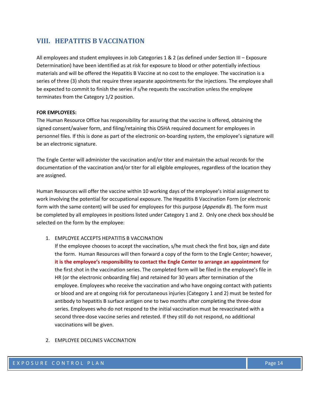## <span id="page-16-0"></span>**VIII. HEPATITIS B VACCINATION**

All employees and student employees in Job Categories 1 & 2 (as defined under Section III – Exposure Determination) have been identified as at risk for exposure to blood or other potentially infectious materials and will be offered the Hepatitis B Vaccine at no cost to the employee. The vaccination is a series of three (3) shots that require three separate appointments for the injections. The employee shall be expected to commit to finish the series if s/he requests the vaccination unless the employee terminates from the Category 1/2 position.

#### **FOR EMPLOYEES:**

The Human Resource Office has responsibility for assuring that the vaccine is offered, obtaining the signed consent/waiver form, and filing/retaining this OSHA required document for employees in personnel files. If this is done as part of the electronic on-boarding system, the employee's signature will be an electronic signature.

The Engle Center will administer the vaccination and/or titer and maintain the actual records for the documentation of the vaccination and/or titer for all eligible employees, regardless of the location they are assigned.

Human Resources will offer the vaccine within 10 working days of the employee's initial assignment to work involving the potential for occupational exposure. The Hepatitis B Vaccination Form (or electronic form with the same content) will be used for employees for this purpose (*Appendix B*). The form must be completed by all employees in positions listed under Category 1 and 2. Only one check box should be selected on the form by the employee:

#### 1. EMPLOYEE ACCEPTS HEPATITIS B VACCINATION

If the employee chooses to accept the vaccination, s/he must check the first box, sign and date the form. Human Resources will then forward a copy of the form to the Engle Center; however, **it is the employee's responsibility to contact the Engle Center to arrange an appointment** for the first shot in the vaccination series. The completed form will be filed in the employee's file in HR (or the electronic onboarding file) and retained for 30 years after termination of the employee. Employees who receive the vaccination and who have ongoing contact with patients or blood and are at ongoing risk for percutaneous injuries (Category 1 and 2) must be tested for antibody to hepatitis B surface antigen one to two months after completing the three-dose series. Employees who do not respond to the initial vaccination must be revaccinated with a second three-dose vaccine series and retested. If they still do not respond, no additional vaccinations will be given.

#### 2. EMPLOYEE DECLINES VACCINATION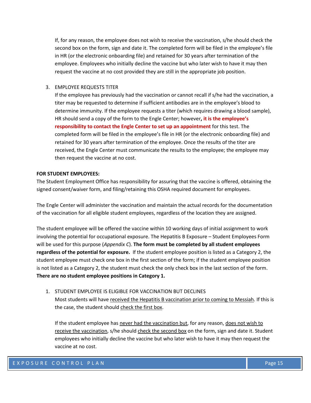If, for any reason, the employee does not wish to receive the vaccination, s/he should check the second box on the form, sign and date it. The completed form will be filed in the employee's file in HR (or the electronic onboarding file) and retained for 30 years after termination of the employee. Employees who initially decline the vaccine but who later wish to have it may then request the vaccine at no cost provided they are still in the appropriate job position.

#### 3. EMPLOYEE REQUESTS TITER

If the employee has previously had the vaccination or cannot recall if s/he had the vaccination, a titer may be requested to determine if sufficient antibodies are in the employee's blood to determine immunity. If the employee requests a titer (which requires drawing a blood sample), HR should send a copy of the form to the Engle Center; however**, it is the employee's responsibility to contact the Engle Center to set up an appointment** for this test. The completed form will be filed in the employee's file in HR (or the electronic onboarding file) and retained for 30 years after termination of the employee. Once the results of the titer are received, the Engle Center must communicate the results to the employee; the employee may then request the vaccine at no cost.

#### **FOR STUDENT EMPLOYEES:**

The Student Employment Office has responsibility for assuring that the vaccine is offered, obtaining the signed consent/waiver form, and filing/retaining this OSHA required document for employees.

The Engle Center will administer the vaccination and maintain the actual records for the documentation of the vaccination for all eligible student employees, regardless of the location they are assigned.

The student employee will be offered the vaccine within 10 working days of initial assignment to work involving the potential for occupational exposure. The Hepatitis B Exposure – Student Employees Form will be used for this purpose (*Appendix C*). **The form must be completed by all student employees regardless of the potential for exposure.** If the student employee position is listed as a Category 2, the student employee must check one box in the first section of the form; if the student employee position is not listed as a Category 2, the student must check the only check box in the last section of the form. **There are no student employee positions in Category 1.**

#### 1. STUDENT EMPLOYEE IS ELIGIBLE FOR VACCINATION BUT DECLINES

Most students will have received the Hepatitis B vaccination prior to coming to Messiah. If this is the case, the student should check the first box.

If the student employee has never had the vaccination but, for any reason, does not wish to receive the vaccination, s/he should check the second box on the form, sign and date it. Student employees who initially decline the vaccine but who later wish to have it may then request the vaccine at no cost.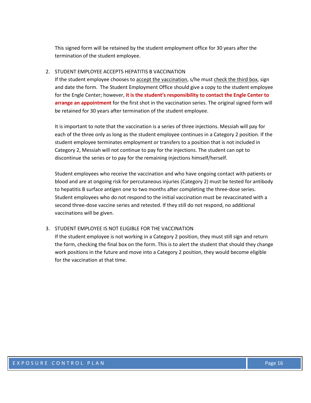This signed form will be retained by the student employment office for 30 years after the termination of the student employee.

#### 2. STUDENT EMPLOYEE ACCEPTS HEPATITIS B VACCINATION

If the student employee chooses to accept the vaccination, s/he must check the third box, sign and date the form. The Student Employment Office should give a copy to the student employee for the Engle Center; however, **it is the student's responsibility to contact the Engle Center to arrange an appointment** for the first shot in the vaccination series. The original signed form will be retained for 30 years after termination of the student employee.

It is important to note that the vaccination is a series of three injections. Messiah will pay for each of the three only as long as the student employee continues in a Category 2 position. If the student employee terminates employment or transfers to a position that is not included in Category 2, Messiah will not continue to pay for the injections. The student can opt to discontinue the series or to pay for the remaining injections himself/herself.

Student employees who receive the vaccination and who have ongoing contact with patients or blood and are at ongoing risk for percutaneous injuries (Category 2) must be tested for antibody to hepatitis B surface antigen one to two months after completing the three-dose series. Student employees who do not respond to the initial vaccination must be revaccinated with a second three-dose vaccine series and retested. If they still do not respond, no additional vaccinations will be given.

#### 3. STUDENT EMPLOYEE IS NOT ELIGIBLE FOR THE VACCINATION

If the student employee is not working in a Category 2 position, they must still sign and return the form, checking the final box on the form. This is to alert the student that should they change work positions in the future and move into a Category 2 position, they would become eligible for the vaccination at that time.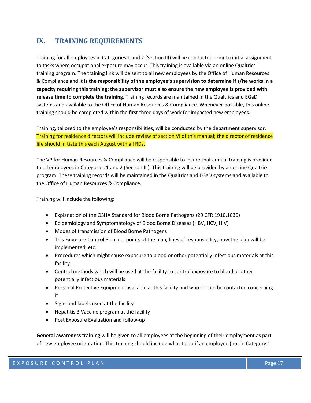## <span id="page-19-0"></span>**IX. TRAINING REQUIREMENTS**

Training for all employees in Categories 1 and 2 (Section III) will be conducted prior to initial assignment to tasks where occupational exposure may occur. This training is available via an online Qualtrics training program. The training link will be sent to all new employees by the Office of Human Resources & Compliance and **it is the responsibility of the employee's supervision to determine if s/he works in a capacity requiring this training; the supervisor must also ensure the new employee is provided with release time to complete the training**. Training records are maintained in the Qualtrics and EGaD systems and available to the Office of Human Resources & Compliance. Whenever possible, this online training should be completed within the first three days of work for impacted new employees.

Training, tailored to the employee's responsibilities, will be conducted by the department supervisor. Training for residence directors will include review of section VI of this manual; the director of residence life should initiate this each August with all RDs.

The VP for Human Resources & Compliance will be responsible to insure that annual training is provided to all employees in Categories 1 and 2 (Section III). This training will be provided by an online Qualtrics program. These training records will be maintained in the Qualtrics and EGaD systems and available to the Office of Human Resources & Compliance.

Training will include the following:

- Explanation of the OSHA Standard for Blood Borne Pathogens (29 CFR 1910.1030)
- Epidemiology and Symptomatology of Blood Borne Diseases (HBV, HCV, HIV)
- Modes of transmission of Blood Borne Pathogens
- This Exposure Control Plan, i.e. points of the plan, lines of responsibility, how the plan will be implemented, etc.
- Procedures which might cause exposure to blood or other potentially infectious materials at this facility
- Control methods which will be used at the facility to control exposure to blood or other potentially infectious materials
- Personal Protective Equipment available at this facility and who should be contacted concerning it
- Signs and labels used at the facility
- Hepatitis B Vaccine program at the facility
- Post Exposure Evaluation and follow-up

**General awareness training** will be given to all employees at the beginning of their employment as part of new employee orientation. This training should include what to do if an employee (not in Category 1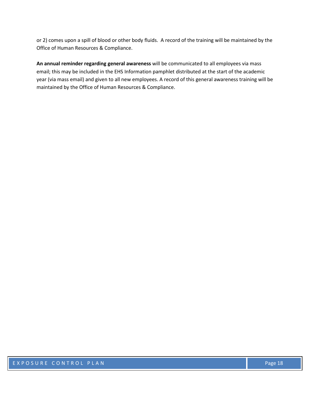or 2) comes upon a spill of blood or other body fluids. A record of the training will be maintained by the Office of Human Resources & Compliance.

**An annual reminder regarding general awareness** will be communicated to all employees via mass email; this may be included in the EHS Information pamphlet distributed at the start of the academic year (via mass email) and given to all new employees. A record of this general awareness training will be maintained by the Office of Human Resources & Compliance.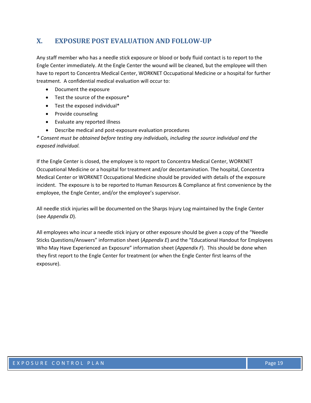## <span id="page-21-0"></span>**X. EXPOSURE POST EVALUATION AND FOLLOW-UP**

Any staff member who has a needle stick exposure or blood or body fluid contact is to report to the Engle Center immediately. At the Engle Center the wound will be cleaned, but the employee will then have to report to Concentra Medical Center, WORKNET Occupational Medicine or a hospital for further treatment. A confidential medical evaluation will occur to:

- Document the exposure
- Test the source of the exposure\*
- Test the exposed individual\*
- Provide counseling
- Evaluate any reported illness
- Describe medical and post-exposure evaluation procedures

*\* Consent must be obtained before testing any individuals, including the source individual and the exposed individual.*

If the Engle Center is closed, the employee is to report to Concentra Medical Center, WORKNET Occupational Medicine or a hospital for treatment and/or decontamination. The hospital, Concentra Medical Center or WORKNET Occupational Medicine should be provided with details of the exposure incident. The exposure is to be reported to Human Resources & Compliance at first convenience by the employee, the Engle Center, and/or the employee's supervisor.

All needle stick injuries will be documented on the Sharps Injury Log maintained by the Engle Center (see *Appendix D*).

All employees who incur a needle stick injury or other exposure should be given a copy of the "Needle Sticks Questions/Answers" information sheet (*Appendix E*) and the "Educational Handout for Employees Who May Have Experienced an Exposure" information sheet (*Appendix F*). This should be done when they first report to the Engle Center for treatment (or when the Engle Center first learns of the exposure).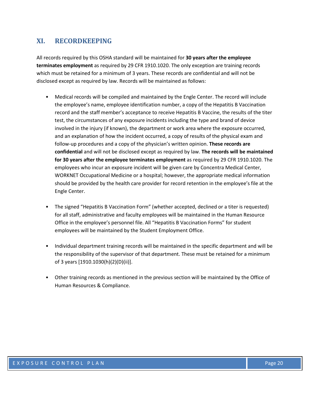## <span id="page-22-0"></span>**XI. RECORDKEEPING**

All records required by this OSHA standard will be maintained for **30 years after the employee terminates employment** as required by 29 CFR 1910.1020. The only exception are training records which must be retained for a minimum of 3 years. These records are confidential and will not be disclosed except as required by law. Records will be maintained as follows:

- Medical records will be compiled and maintained by the Engle Center. The record will include the employee's name, employee identification number, a copy of the Hepatitis B Vaccination record and the staff member's acceptance to receive Hepatitis B Vaccine, the results of the titer test, the circumstances of any exposure incidents including the type and brand of device involved in the injury (if known), the department or work area where the exposure occurred, and an explanation of how the incident occurred, a copy of results of the physical exam and follow-up procedures and a copy of the physician's written opinion. **These records are confidential** and will not be disclosed except as required by law. **The records will be maintained for 30 years after the employee terminates employment** as required by 29 CFR 1910.1020. The employees who incur an exposure incident will be given care by Concentra Medical Center, WORKNET Occupational Medicine or a hospital; however, the appropriate medical information should be provided by the health care provider for record retention in the employee's file at the Engle Center.
- The signed "Hepatitis B Vaccination Form" (whether accepted, declined or a titer is requested) for all staff, administrative and faculty employees will be maintained in the Human Resource Office in the employee's personnel file. All "Hepatitis B Vaccination Forms" for student employees will be maintained by the Student Employment Office.
- Individual department training records will be maintained in the specific department and will be the responsibility of the supervisor of that department. These must be retained for a minimum of 3 years [1910.1030(h)(2)(D)(ii)].
- Other training records as mentioned in the previous section will be maintained by the Office of Human Resources & Compliance.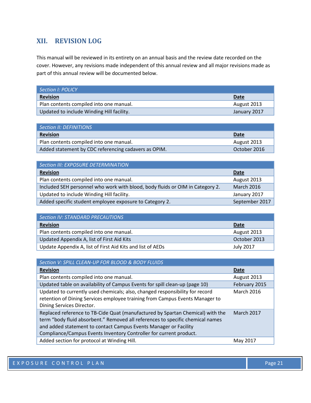## <span id="page-23-0"></span>**XII. REVISION LOG**

This manual will be reviewed in its entirety on an annual basis and the review date recorded on the cover. However, any revisions made independent of this annual review and all major revisions made as part of this annual review will be documented below.

| Section I: POLICY                         |              |
|-------------------------------------------|--------------|
| <b>Revision</b>                           | Date         |
| Plan contents compiled into one manual.   | August 2013  |
| Updated to include Winding Hill facility. | January 2017 |

| Section II: DEFINITIONS                              |              |
|------------------------------------------------------|--------------|
| <b>Revision</b>                                      | Date         |
| Plan contents compiled into one manual.              | August 2013  |
| Added statement by CDC referencing cadavers as OPIM. | October 2016 |

| Section III: EXPOSURE DETERMINATION                                           |                   |
|-------------------------------------------------------------------------------|-------------------|
| <b>Revision</b>                                                               | <b>Date</b>       |
| Plan contents compiled into one manual.                                       | August 2013       |
| Included SEH personnel who work with blood, body fluids or OIM in Category 2. | <b>March 2016</b> |
| Updated to include Winding Hill facility.                                     | January 2017      |
| Added specific student employee exposure to Category 2.                       | September 2017    |

| Section IV: STANDARD PRECAUTIONS                           |                  |
|------------------------------------------------------------|------------------|
| <b>Revision</b>                                            | Date             |
| Plan contents compiled into one manual.                    | August 2013      |
| Updated Appendix A, list of First Aid Kits                 | October 2013     |
| Update Appendix A, list of First Aid Kits and list of AEDs | <b>July 2017</b> |

| Section V: SPILL CLEAN-UP FOR BLOOD & BODY FLUIDS                                                                                                                                                                                                                                                          |                   |
|------------------------------------------------------------------------------------------------------------------------------------------------------------------------------------------------------------------------------------------------------------------------------------------------------------|-------------------|
| <b>Revision</b>                                                                                                                                                                                                                                                                                            | Date              |
| Plan contents compiled into one manual.                                                                                                                                                                                                                                                                    | August 2013       |
| Updated table on availability of Campus Events for spill clean-up (page 10)                                                                                                                                                                                                                                | February 2015     |
| Updated to currently used chemicals; also, changed responsibility for record<br>retention of Dining Services employee training from Campus Events Manager to<br>Dining Services Director.                                                                                                                  | <b>March 2016</b> |
| Replaced reference to TB-Cide Quat (manufactured by Spartan Chemical) with the<br>term "body fluid absorbent." Removed all references to specific chemical names<br>and added statement to contact Campus Events Manager or Facility<br>Compliance/Campus Events Inventory Controller for current product. | <b>March 2017</b> |
| Added section for protocol at Winding Hill.                                                                                                                                                                                                                                                                | May 2017          |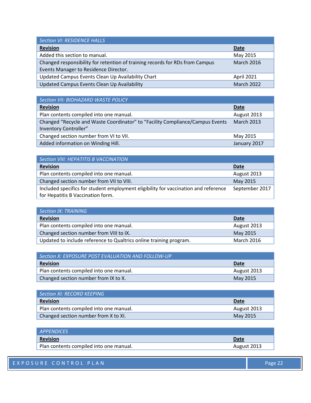| <b>Section VI: RESIDENCE HALLS</b>                                           |                   |
|------------------------------------------------------------------------------|-------------------|
| <b>Revision</b>                                                              | <b>Date</b>       |
| Added this section to manual.                                                | May 2015          |
| Changed responsibility for retention of training records for RDs from Campus | <b>March 2016</b> |
| Events Manager to Residence Director.                                        |                   |
| Updated Campus Events Clean Up Availability Chart                            | April 2021        |
| Updated Campus Events Clean Up Availability                                  | <b>March 2022</b> |

| Section VII: BIOHAZARD WASTE POLICY                                                                    |                   |
|--------------------------------------------------------------------------------------------------------|-------------------|
| <b>Revision</b>                                                                                        | <b>Date</b>       |
| Plan contents compiled into one manual.                                                                | August 2013       |
| Changed "Recycle and Waste Coordinator" to "Facility Compliance/Campus Events<br>Inventory Controller" | <b>March 2013</b> |
| Changed section number from VI to VII.                                                                 | May 2015          |
| Added information on Winding Hill.                                                                     | January 2017      |

| Section VIII: HEPATITIS B VACCINATION                                               |                |
|-------------------------------------------------------------------------------------|----------------|
| <b>Revision</b>                                                                     | <b>Date</b>    |
| Plan contents compiled into one manual.                                             | August 2013    |
| Changed section number from VII to VIII.                                            | May 2015       |
| Included specifics for student employment eligibility for vaccination and reference | September 2017 |
| for Hepatitis B Vaccination form.                                                   |                |

| Section IX: TRAINING                                               |                   |
|--------------------------------------------------------------------|-------------------|
| <b>Revision</b>                                                    | Date              |
| Plan contents compiled into one manual.                            | August 2013       |
| Changed section number from VIII to IX.                            | May 2015          |
| Updated to include reference to Qualtrics online training program. | <b>March 2016</b> |

| $\mid$ Section X: EXPOSURE POST EVALUATION AND FOLLOW-UP $\mid$ |             |
|-----------------------------------------------------------------|-------------|
| Revision                                                        | Date        |
| Plan contents compiled into one manual.                         | August 2013 |
| Changed section number from IX to X.                            | May 2015    |

| <b>Section XI: RECORD KEEPING</b>       |             |
|-----------------------------------------|-------------|
| <b>Revision</b>                         | Date        |
| Plan contents compiled into one manual. | August 2013 |
| Changed section number from X to XI.    | May 2015    |

| <i>APPENDICES</i>                       |             |
|-----------------------------------------|-------------|
| <b>Revision</b>                         | Date        |
| Plan contents compiled into one manual. | August 2013 |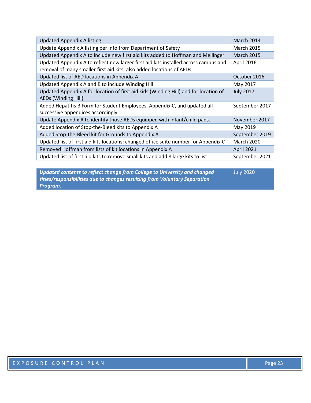| <b>Updated Appendix A listing</b>                                                    | March 2014        |
|--------------------------------------------------------------------------------------|-------------------|
| Update Appendix A listing per info from Department of Safety                         | <b>March 2015</b> |
| Updated Appendix A to include new first aid kits added to Hoffman and Mellinger      | <b>March 2015</b> |
| Updated Appendix A to reflect new larger first aid kits installed across campus and  | April 2016        |
| removal of many smaller first aid kits; also added locations of AEDs                 |                   |
| Updated list of AED locations in Appendix A                                          | October 2016      |
| Updated Appendix A and B to include Winding Hill.                                    | May 2017          |
| Updated Appendix A for location of first aid kids (Winding Hill) and for location of | <b>July 2017</b>  |
| AEDs (Winding Hill)                                                                  |                   |
| Added Hepatitis B Form for Student Employees, Appendix C, and updated all            | September 2017    |
| successive appendices accordingly.                                                   |                   |
| Update Appendix A to identify those AEDs equipped with infant/child pads.            | November 2017     |
| Added location of Stop-the-Bleed kits to Appendix A                                  | May 2019          |
| Added Stop-the-Bleed kit for Grounds to Appendix A                                   | September 2019    |
| Updated list of first aid kits locations; changed office suite number for Appendix C | <b>March 2020</b> |
| Removed Hoffman from lists of kit locations in Appendix A                            | <b>April 2021</b> |
| Updated list of first aid kits to remove small kits and add 8 large kits to list     | September 2021    |

*Updated contents to reflect change from College to University and changed titles/responsibilities due to changes resulting from Voluntary Separation Program.* July 2020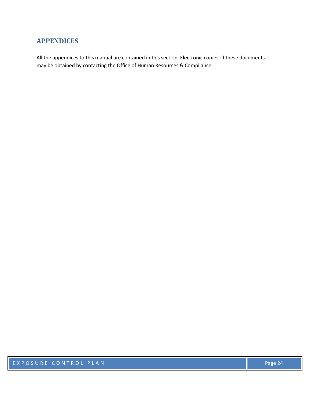## <span id="page-26-0"></span>**APPENDICES**

All the appendices to this manual are contained in this section. Electronic copies of these documents may be obtained by contacting the Office of Human Resources & Compliance.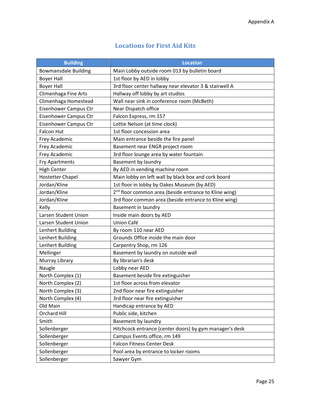## **Locations for First Aid Kits**

<span id="page-27-0"></span>

| <b>Building</b>              | <b>Location</b>                                                   |  |
|------------------------------|-------------------------------------------------------------------|--|
| <b>Bowmansdale Building</b>  | Main Lobby outside room 013 by bulletin board                     |  |
| <b>Boyer Hall</b>            | 1st floor by AED in lobby                                         |  |
| <b>Boyer Hall</b>            | 3rd floor center hallway near elevator 3 & stairwell A            |  |
| Climenhaga Fine Arts         | Hallway off lobby by art studios                                  |  |
| Climenhaga Homestead         | Wall near sink in conference room (McBeth)                        |  |
| <b>Eisenhower Campus Ctr</b> | Near Dispatch office                                              |  |
| Eisenhower Campus Ctr        | Falcon Express, rm 157                                            |  |
| Eisenhower Campus Ctr        | Lottie Nelson (at time clock)                                     |  |
| <b>Falcon Hut</b>            | 1st floor concession area                                         |  |
| Frey Academic                | Main entrance beside the fire panel                               |  |
| Frey Academic                | Basement near ENGR project room                                   |  |
| Frey Academic                | 3rd floor lounge area by water fountain                           |  |
| <b>Fry Apartments</b>        | Basement by laundry                                               |  |
| <b>High Center</b>           | By AED in vending machine room                                    |  |
| <b>Hostetter Chapel</b>      | Main lobby on left wall by black box and cork board               |  |
| Jordan/Kline                 | 1st floor in lobby by Oakes Museum (by AED)                       |  |
| Jordan/Kline                 | 2 <sup>nd</sup> floor common area (beside entrance to Kline wing) |  |
| Jordan/Kline                 | 3rd floor common area (beside entrance to Kline wing)             |  |
| Kelly                        | <b>Basement in laundry</b>                                        |  |
| Larsen Student Union         | Inside main doors by AED                                          |  |
| Larsen Student Union         | Union Café                                                        |  |
| Lenhert Building             | By room 110 near AED                                              |  |
| Lenhert Building             | Grounds Office inside the main door                               |  |
| Lenhert Building             | Carpentry Shop, rm 126                                            |  |
| Mellinger                    | Basement by laundry on outside wall                               |  |
| Murray Library               | By librarian's desk                                               |  |
| Naugle                       | Lobby near AED                                                    |  |
| North Complex (1)            | Basement beside fire extinguisher                                 |  |
| North Complex (2)            | 1st floor across from elevator                                    |  |
| North Complex (3)            | 2nd floor near fire extinguisher                                  |  |
| North Complex (4)            | 3rd floor near fire extinguisher                                  |  |
| Old Main                     | Handicap entrance by AED                                          |  |
| Orchard Hill                 | Public side, kitchen                                              |  |
| Smith                        | Basement by laundry                                               |  |
| Sollenberger                 | Hitchcock entrance (center doors) by gym manager's desk           |  |
| Sollenberger                 | Campus Events office, rm 149                                      |  |
| Sollenberger                 | <b>Falcon Fitness Center Desk</b>                                 |  |
| Sollenberger                 | Pool area by entrance to locker rooms                             |  |
| Sollenberger                 | Sawyer Gym                                                        |  |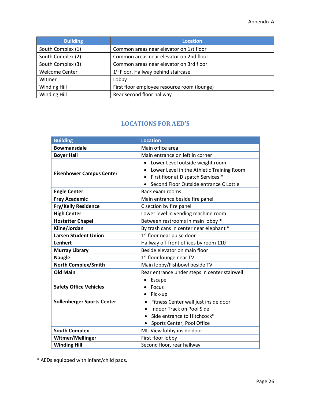| <b>Building</b>       | <b>Location</b>                                 |
|-----------------------|-------------------------------------------------|
| South Complex (1)     | Common areas near elevator on 1st floor         |
| South Complex (2)     | Common areas near elevator on 2nd floor         |
| South Complex (3)     | Common areas near elevator on 3rd floor         |
| <b>Welcome Center</b> | 1 <sup>st</sup> Floor, Hallway behind staircase |
| Witmer                | Lobby                                           |
| Winding Hill          | First floor employee resource room (lounge)     |
| Winding Hill          | Rear second floor hallway                       |

## **LOCATIONS FOR AED'S**

<span id="page-28-0"></span>

| <b>Building</b>                   | <b>Location</b>                                                                                                                                                           |  |
|-----------------------------------|---------------------------------------------------------------------------------------------------------------------------------------------------------------------------|--|
| <b>Bowmansdale</b>                | Main office area                                                                                                                                                          |  |
| <b>Boyer Hall</b>                 | Main entrance on left in corner                                                                                                                                           |  |
| <b>Eisenhower Campus Center</b>   | Lower Level outside weight room<br>$\bullet$<br>Lower Level in the Athletic Training Room<br>First floor at Dispatch Services *<br>Second Floor Outside entrance C Lottie |  |
| <b>Engle Center</b>               | Back exam rooms                                                                                                                                                           |  |
| <b>Frey Academic</b>              | Main entrance beside fire panel                                                                                                                                           |  |
| Fry/Kelly Residence               | C section by fire panel                                                                                                                                                   |  |
| <b>High Center</b>                | Lower level in vending machine room                                                                                                                                       |  |
| <b>Hostetter Chapel</b>           | Between restrooms in main lobby *                                                                                                                                         |  |
| Kline/Jordan                      | By trash cans in center near elephant *                                                                                                                                   |  |
| <b>Larsen Student Union</b>       | 1 <sup>st</sup> floor near pulse door                                                                                                                                     |  |
| <b>Lenhert</b>                    | Hallway off front offices by room 110                                                                                                                                     |  |
| <b>Murray Library</b>             | Beside elevator on main floor                                                                                                                                             |  |
| <b>Naugle</b>                     | $1st$ floor lounge near TV                                                                                                                                                |  |
| <b>North Complex/Smith</b>        | Main lobby/Fishbowl beside TV                                                                                                                                             |  |
| <b>Old Main</b>                   | Rear entrance under steps in center stairwell                                                                                                                             |  |
|                                   | Escape                                                                                                                                                                    |  |
| <b>Safety Office Vehicles</b>     | Focus<br>Pick-up<br>٠                                                                                                                                                     |  |
| <b>Sollenberger Sports Center</b> | Fitness Center wall just inside door<br>$\bullet$                                                                                                                         |  |
|                                   | <b>Indoor Track on Pool Side</b>                                                                                                                                          |  |
|                                   | Side entrance to Hitchcock*                                                                                                                                               |  |
|                                   | Sports Center, Pool Office                                                                                                                                                |  |
| <b>South Complex</b>              | Mt. View lobby inside door                                                                                                                                                |  |
| Witmer/Mellinger                  | First floor lobby                                                                                                                                                         |  |
| <b>Winding Hill</b>               | Second floor, rear hallway                                                                                                                                                |  |

\* AEDs equipped with infant/child pads.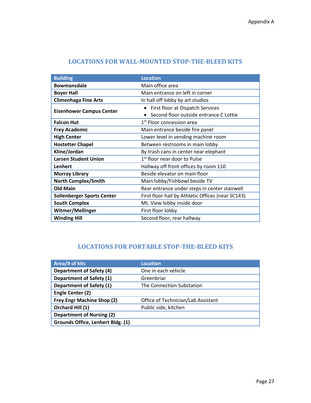| <b>Building</b>                   | <b>Location</b>                                   |
|-----------------------------------|---------------------------------------------------|
| <b>Bowmansdale</b>                | Main office area                                  |
| <b>Boyer Hall</b>                 | Main entrance on left in corner                   |
| <b>Climenhaga Fine Arts</b>       | In hall off lobby by art studios                  |
|                                   | First floor at Dispatch Services                  |
| <b>Eisenhower Campus Center</b>   | Second floor outside entrance C Lottie            |
| <b>Falcon Hut</b>                 | 1 <sup>st</sup> Floor concession area             |
| <b>Frey Academic</b>              | Main entrance beside fire panel                   |
| <b>High Center</b>                | Lower level in vending machine room               |
| <b>Hostetter Chapel</b>           | Between restrooms in main lobby                   |
| Kline/Jordan                      | By trash cans in center near elephant             |
| <b>Larsen Student Union</b>       | 1 <sup>st</sup> floor near door to Pulse          |
| Lenhert                           | Hallway off front offices by room 110             |
| <b>Murray Library</b>             | Beside elevator on main floor                     |
| <b>North Complex/Smith</b>        | Main lobby/Fishbowl beside TV                     |
| <b>Old Main</b>                   | Rear entrance under steps in center stairwell     |
| <b>Sollenberger Sports Center</b> | First floor hall by Athletic Offices (near SC143) |
| <b>South Complex</b>              | Mt. View lobby inside door                        |
| Witmer/Mellinger                  | First floor lobby                                 |
| <b>Winding Hill</b>               | Second floor, rear hallway                        |

## **LOCATIONS FOR WALL-MOUNTED STOP-THE-BLEED KITS**

## **LOCATIONS FOR PORTABLE STOP-THE-BLEED KITS**

| Area/# of kits                    | <b>Location</b>                    |
|-----------------------------------|------------------------------------|
| <b>Department of Safety (4)</b>   | One in each vehicle                |
| <b>Department of Safety (1)</b>   | Greenbriar                         |
| <b>Department of Safety (1)</b>   | The Connection Substation          |
| Engle Center (2)                  |                                    |
| Frey Engr Machine Shop (2)        | Office of Technician/Lab Assistant |
| Orchard Hill (1)                  | Public side, kitchen               |
| <b>Department of Nursing (2)</b>  |                                    |
| Grounds Office, Lenhert Bldg. (1) |                                    |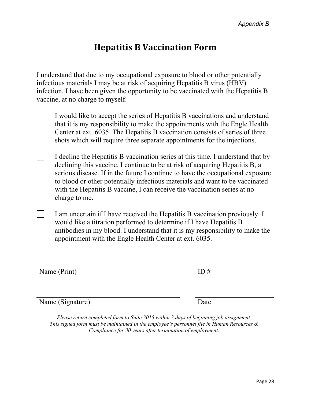## **Hepatitis B Vaccination Form**

<span id="page-30-0"></span>I understand that due to my occupational exposure to blood or other potentially infectious materials I may be at risk of acquiring Hepatitis B virus (HBV) infection. I have been given the opportunity to be vaccinated with the Hepatitis B vaccine, at no charge to myself.

- I would like to accept the series of Hepatitis B vaccinations and understand that it is my responsibility to make the appointments with the Engle Health Center at ext. 6035. The Hepatitis B vaccination consists of series of three shots which will require three separate appointments for the injections.
- I decline the Hepatitis B vaccination series at this time. I understand that by declining this vaccine, I continue to be at risk of acquiring Hepatitis B, a serious disease. If in the future I continue to have the occupational exposure to blood or other potentially infectious materials and want to be vaccinated with the Hepatitis B vaccine, I can receive the vaccination series at no charge to me.
- I am uncertain if I have received the Hepatitis B vaccination previously. I would like a titration performed to determine if I have Hepatitis B antibodies in my blood. I understand that it is my responsibility to make the appointment with the Engle Health Center at ext. 6035.

Name (Print) ID #

| וו ש |  |  |  |
|------|--|--|--|
|      |  |  |  |
|      |  |  |  |
|      |  |  |  |

Name (Signature) Date

*Please return completed form to Suite 3015 within 3 days of beginning job assignment. This signed form must be maintained in the employee's personnel file in Human Resources & Compliance for 30 years after termination of employment.*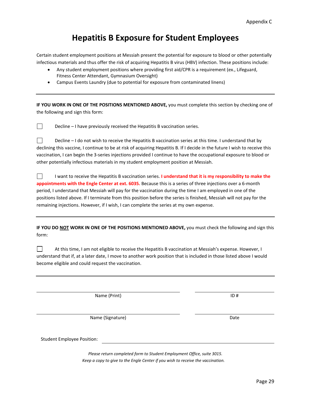## **Hepatitis B Exposure for Student Employees**

Certain student employment positions at Messiah present the potential for exposure to blood or other potentially infectious materials and thus offer the risk of acquiring Hepatitis B virus (HBV) infection. These positions include:

- Any student employment positions where providing first aid/CPR is a requirement (ex., Lifeguard, Fitness Center Attendant, Gymnasium Oversight)
- Campus Events Laundry (due to potential for exposure from contaminated linens)

**IF YOU WORK IN ONE OF THE POSITIONS MENTIONED ABOVE,** you must complete this section by checking one of the following and sign this form:

Decline – I have previously received the Hepatitis B vaccination series.

 $\Box$ Decline – I do not wish to receive the Hepatitis B vaccination series at this time. I understand that by declining this vaccine, I continue to be at risk of acquiring Hepatitis B. If I decide in the future I wish to receive this vaccination, I can begin the 3-series injections provided I continue to have the occupational exposure to blood or other potentially infectious materials in my student employment position at Messiah.

 $\Box$ I want to receive the Hepatitis B vaccination series. **I understand that it is my responsibility to make the appointments with the Engle Center at ext. 6035.** Because this is a series of three injections over a 6-month period, I understand that Messiah will pay for the vaccination during the time I am employed in one of the positions listed above. If I terminate from this position before the series is finished, Messiah will not pay for the remaining injections. However, if I wish, I can complete the series at my own expense.

**IF YOU DO NOT WORK IN ONE OF THE POSITIONS MENTIONED ABOVE,** you must check the following and sign this form:

 $\Box$ At this time, I am not eligible to receive the Hepatitis B vaccination at Messiah's expense. However, I understand that if, at a later date, I move to another work position that is included in those listed above I would become eligible and could request the vaccination.

Name (Print) ID #

Name (Signature) and Date and Date and Date and Date and Date and Date and Date and Date and Date and Date and Date and Date and Date and Date and Date and Date and Date and Date and Date and Date and Date and Date and Dat

Student Employee Position:

 $\Box$ 

*Please return completed form to Student Employment Office, suite 3015. Keep a copy to give to the Engle Center if you wish to receive the vaccination.*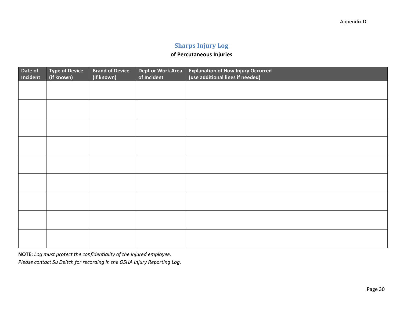## **Sharps Injury Log**

## **of Percutaneous Injuries**

<span id="page-32-0"></span>

| Date of<br>Incident | <b>Type of Device</b><br>(if known) | <b>Brand of Device</b><br>(if known) | Dept or Work Area<br>of Incident | <b>Explanation of How Injury Occurred</b><br>(use additional lines if needed) |
|---------------------|-------------------------------------|--------------------------------------|----------------------------------|-------------------------------------------------------------------------------|
|                     |                                     |                                      |                                  |                                                                               |
|                     |                                     |                                      |                                  |                                                                               |
|                     |                                     |                                      |                                  |                                                                               |
|                     |                                     |                                      |                                  |                                                                               |
|                     |                                     |                                      |                                  |                                                                               |
|                     |                                     |                                      |                                  |                                                                               |
|                     |                                     |                                      |                                  |                                                                               |
|                     |                                     |                                      |                                  |                                                                               |
|                     |                                     |                                      |                                  |                                                                               |
|                     |                                     |                                      |                                  |                                                                               |

**NOTE:** *Log must protect the confidentiality of the injured employee.* 

*Please contact Su Deitch for recording in the OSHA Injury Reporting Log.*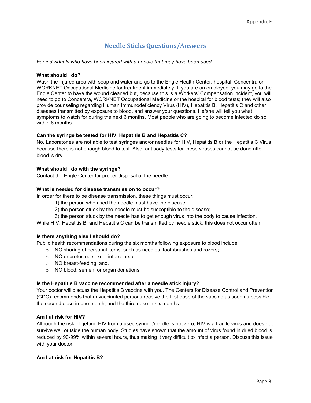## **Needle Sticks Questions/Answers**

<span id="page-33-0"></span>*For individuals who have been injured with a needle that may have been used.* 

#### **What should I do?**

Wash the injured area with soap and water and go to the Engle Health Center, hospital, Concentra or WORKNET Occupational Medicine for treatment immediately. If you are an employee, you may go to the Engle Center to have the wound cleaned but, because this is a Workers' Compensation incident, you will need to go to Concentra, WORKNET Occupational Medicine or the hospital for blood tests; they will also provide counseling regarding Human Immunodeficiency Virus (HIV), Hepatitis B, Hepatitis C and other diseases transmitted by exposure to blood, and answer your questions. He/she will tell you what symptoms to watch for during the next 6 months. Most people who are going to become infected do so within 6 months.

#### **Can the syringe be tested for HIV, Hepatitis B and Hepatitis C?**

No. Laboratories are not able to test syringes and/or needles for HIV, Hepatitis B or the Hepatitis C Virus because there is not enough blood to test. Also, antibody tests for these viruses cannot be done after blood is dry.

#### **What should I do with the syringe?**

Contact the Engle Center for proper disposal of the needle.

#### **What is needed for disease transmission to occur?**

In order for there to be disease transmission, these things must occur:

- 1) the person who used the needle must have the disease;
- 2) the person stuck by the needle must be susceptible to the disease;
- 3) the person stuck by the needle has to get enough virus into the body to cause infection.

While HIV, Hepatitis B, and Hepatitis C can be transmitted by needle stick, this does not occur often.

#### **Is there anything else I should do?**

Public health recommendations during the six months following exposure to blood include:

- o NO sharing of personal items, such as needles, toothbrushes and razors;
- o NO unprotected sexual intercourse;
- o NO breast-feeding; and,
- o NO blood, semen, or organ donations.

#### **Is the Hepatitis B vaccine recommended after a needle stick injury?**

Your doctor will discuss the Hepatitis B vaccine with you. The Centers for Disease Control and Prevention (CDC) recommends that unvaccinated persons receive the first dose of the vaccine as soon as possible, the second dose in one month, and the third dose in six months.

#### **Am I at risk for HIV?**

Although the risk of getting HIV from a used syringe/needle is not zero, HIV is a fragile virus and does not survive well outside the human body. Studies have shown that the amount of virus found in dried blood is reduced by 90-99% within several hours, thus making it very difficult to infect a person. Discuss this issue with your doctor.

#### **Am I at risk for Hepatitis B?**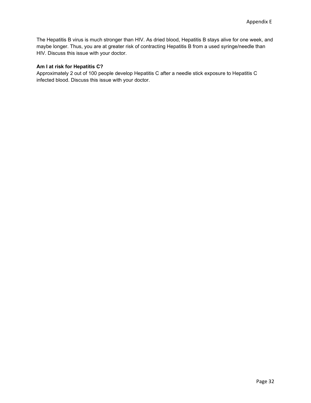The Hepatitis B virus is much stronger than HIV. As dried blood, Hepatitis B stays alive for one week, and maybe longer. Thus, you are at greater risk of contracting Hepatitis B from a used syringe/needle than HIV. Discuss this issue with your doctor.

#### **Am I at risk for Hepatitis C?**

Approximately 2 out of 100 people develop Hepatitis C after a needle stick exposure to Hepatitis C infected blood. Discuss this issue with your doctor.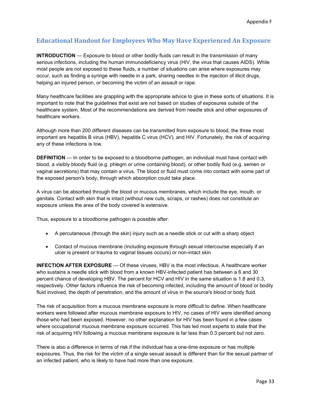## <span id="page-35-0"></span>**Educational Handout for Employees Who May Have Experienced An Exposure**

**INTRODUCTION** — Exposure to blood or other bodily fluids can result in the transmission of many serious infections, including the human immunodeficiency virus (HIV, the virus that causes AIDS). While most people are not exposed to these fluids, a number of situations can arise where exposures may occur, such as finding a syringe with needle in a park, sharing needles in the injection of illicit drugs, helping an injured person, or becoming the victim of an assault or rape.

Many healthcare facilities are grappling with the appropriate advice to give in these sorts of situations. It is important to note that the guidelines that exist are not based on studies of exposures outside of the healthcare system. Most of the recommendations are derived from needle stick and other exposures of healthcare workers.

Although more than 200 different diseases can be transmitted from exposure to blood, the three most important are hepatitis B virus (HBV), hepatitis C virus (HCV), and HIV. Fortunately, the risk of acquiring any of these infections is low.

**DEFINITION** — In order to be exposed to a bloodborne pathogen, an individual must have contact with blood, a visibly bloody fluid (e.g. phlegm or urine containing blood), or other bodily fluid (e.g. semen or vaginal secretions) that may contain a virus. The blood or fluid must come into contact with some part of the exposed person's body, through which absorption could take place.

A virus can be absorbed through the blood or mucous membranes, which include the eye, mouth, or genitals. Contact with skin that is intact (without new cuts, scraps, or rashes) does not constitute an exposure unless the area of the body covered is extensive.

Thus, exposure to a bloodborne pathogen is possible after:

- A percutaneous (through the skin) injury such as a needle stick or cut with a sharp object
- Contact of mucous membrane (including exposure through sexual intercourse especially if an ulcer is present or trauma to vaginal tissues occurs) or non-intact skin

**INFECTION AFTER EXPOSURE** — Of these viruses, HBV is the most infectious. A healthcare worker who sustains a needle stick with blood from a known HBV-infected patient has between a 6 and 30 percent chance of developing HBV. The percent for HCV and HIV in the same situation is 1.8 and 0.3, respectively. Other factors influence the risk of becoming infected, including the amount of blood or bodily fluid involved, the depth of penetration, and the amount of virus in the source's blood or body fluid.

The risk of acquisition from a mucous membrane exposure is more difficult to define. When healthcare workers were followed after mucous membrane exposure to HIV, no cases of HIV were identified among those who had been exposed. However, no other explanation for HIV has been found in a few cases where occupational mucous membrane exposure occurred. This has led most experts to state that the risk of acquiring HIV following a mucous membrane exposure is far less than 0.3 percent but not zero.

There is also a difference in terms of risk if the individual has a one-time exposure or has multiple exposures. Thus, the risk for the victim of a single sexual assault is different than for the sexual partner of an infected patient, who is likely to have had more than one exposure.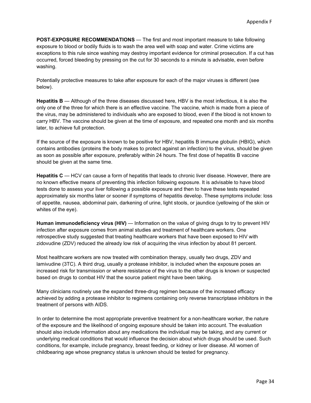**POST-EXPOSURE RECOMMENDATIONS** — The first and most important measure to take following exposure to blood or bodily fluids is to wash the area well with soap and water. Crime victims are exceptions to this rule since washing may destroy important evidence for criminal prosecution. If a cut has occurred, forced bleeding by pressing on the cut for 30 seconds to a minute is advisable, even before washing.

Potentially protective measures to take after exposure for each of the major viruses is different (see below).

**Hepatitis B** — Although of the three diseases discussed here, HBV is the most infectious, it is also the only one of the three for which there is an effective vaccine. The vaccine, which is made from a piece of the virus, may be administered to individuals who are exposed to blood, even if the blood is not known to carry HBV. The vaccine should be given at the time of exposure, and repeated one month and six months later, to achieve full protection.

If the source of the exposure is known to be positive for HBV, hepatitis B immune globulin (HBIG), which contains antibodies (proteins the body makes to protect against an infection) to the virus, should be given as soon as possible after exposure, preferably within 24 hours. The first dose of hepatitis B vaccine should be given at the same time.

**Hepatitis C** — HCV can cause a form of hepatitis that leads to chronic liver disease. However, there are no known effective means of preventing this infection following exposure. It is advisable to have blood tests done to assess your liver following a possible exposure and then to have these tests repeated approximately six months later or sooner if symptoms of hepatitis develop. These symptoms include: loss of appetite, nausea, abdominal pain, darkening of urine, light stools, or jaundice (yellowing of the skin or whites of the eye).

**Human immunodeficiency virus (HIV)** — Information on the value of giving drugs to try to prevent HIV infection after exposure comes from animal studies and treatment of healthcare workers. One retrospective study suggested that treating healthcare workers that have been exposed to HIV with zidovudine (ZDV) reduced the already low risk of acquiring the virus infection by about 81 percent.

Most healthcare workers are now treated with combination therapy, usually two drugs, ZDV and lamivudine (3TC). A third drug, usually a protease inhibitor, is included when the exposure poses an increased risk for transmission or where resistance of the virus to the other drugs is known or suspected based on drugs to combat HIV that the source patient might have been taking.

Many clinicians routinely use the expanded three-drug regimen because of the increased efficacy achieved by adding a protease inhibitor to regimens containing only reverse transcriptase inhibitors in the treatment of persons with AIDS.

In order to determine the most appropriate preventive treatment for a non-healthcare worker, the nature of the exposure and the likelihood of ongoing exposure should be taken into account. The evaluation should also include information about any medications the individual may be taking, and any current or underlying medical conditions that would influence the decision about which drugs should be used. Such conditions, for example, include pregnancy, breast feeding, or kidney or liver disease. All women of childbearing age whose pregnancy status is unknown should be tested for pregnancy.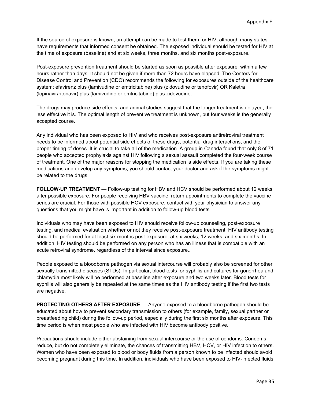If the source of exposure is known, an attempt can be made to test them for HIV, although many states have requirements that informed consent be obtained. The exposed individual should be tested for HIV at the time of exposure (baseline) and at six weeks, three months, and six months post-exposure.

Post-exposure prevention treatment should be started as soon as possible after exposure, within a few hours rather than days. It should not be given if more than 72 hours have elapsed. The Centers for Disease Control and Prevention (CDC) recommends the following for exposures outside of the healthcare system: efavirenz plus (lamivudine or emtricitabine) plus (zidovudine or tenofovir) OR Kaletra (lopinavir/ritonavir) plus (lamivudine or emtricitabine) plus zidovudine.

The drugs may produce side effects, and animal studies suggest that the longer treatment is delayed, the less effective it is. The optimal length of preventive treatment is unknown, but four weeks is the generally accepted course.

Any individual who has been exposed to HIV and who receives post-exposure antiretroviral treatment needs to be informed about potential side effects of these drugs, potential drug interactions, and the proper timing of doses. It is crucial to take all of the medication. A group in Canada found that only 8 of 71 people who accepted prophylaxis against HIV following a sexual assault completed the four-week course of treatment. One of the major reasons for stopping the medication is side effects. If you are taking these medications and develop any symptoms, you should contact your doctor and ask if the symptoms might be related to the drugs.

**FOLLOW-UP TREATMENT** — Follow-up testing for HBV and HCV should be performed about 12 weeks after possible exposure. For people receiving HBV vaccine, return appointments to complete the vaccine series are crucial. For those with possible HCV exposure, contact with your physician to answer any questions that you might have is important in addition to follow-up blood tests.

Individuals who may have been exposed to HIV should receive follow-up counseling, post-exposure testing, and medical evaluation whether or not they receive post-exposure treatment. HIV antibody testing should be performed for at least six months post-exposure, at six weeks, 12 weeks, and six months. In addition, HIV testing should be performed on any person who has an illness that is compatible with an acute retroviral syndrome, regardless of the interval since exposure..

People exposed to a bloodborne pathogen via sexual intercourse will probably also be screened for other sexually transmitted diseases (STDs). In particular, blood tests for syphilis and cultures for gonorrhea and chlamydia most likely will be performed at baseline after exposure and two weeks later. Blood tests for syphilis will also generally be repeated at the same times as the HIV antibody testing if the first two tests are negative.

**PROTECTING OTHERS AFTER EXPOSURE** — Anyone exposed to a bloodborne pathogen should be educated about how to prevent secondary transmission to others (for example, family, sexual partner or breastfeeding child) during the follow-up period, especially during the first six months after exposure. This time period is when most people who are infected with HIV become antibody positive.

Precautions should include either abstaining from sexual intercourse or the use of condoms. Condoms reduce, but do not completely eliminate, the chances of transmitting HBV, HCV, or HIV infection to others. Women who have been exposed to blood or body fluids from a person known to be infected should avoid becoming pregnant during this time. In addition, individuals who have been exposed to HIV-infected fluids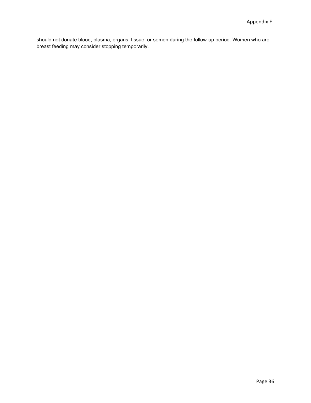should not donate blood, plasma, organs, tissue, or semen during the follow-up period. Women who are breast feeding may consider stopping temporarily.